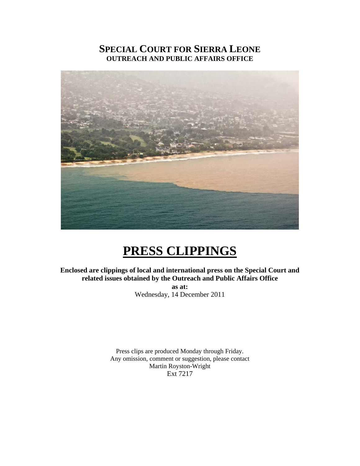# **SPECIAL COURT FOR SIERRA LEONE OUTREACH AND PUBLIC AFFAIRS OFFICE**



# **PRESS CLIPPINGS**

**Enclosed are clippings of local and international press on the Special Court and related issues obtained by the Outreach and Public Affairs Office** 

> **as at:**  Wednesday, 14 December 2011

Press clips are produced Monday through Friday. Any omission, comment or suggestion, please contact Martin Royston-Wright Ext 7217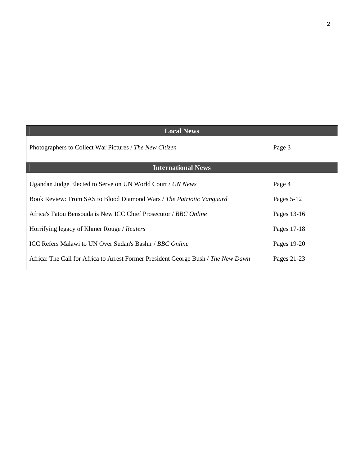| <b>Local News</b>                                                                 |             |
|-----------------------------------------------------------------------------------|-------------|
| Photographers to Collect War Pictures / The New Citizen                           | Page 3      |
| <b>International News</b>                                                         |             |
| Ugandan Judge Elected to Serve on UN World Court / UN News                        | Page 4      |
| Book Review: From SAS to Blood Diamond Wars / The Patriotic Vanguard              | Pages 5-12  |
| Africa's Fatou Bensouda is New ICC Chief Prosecutor / BBC Online                  | Pages 13-16 |
| Horrifying legacy of Khmer Rouge / Reuters                                        | Pages 17-18 |
| <b>ICC Refers Malawi to UN Over Sudan's Bashir / BBC Online</b>                   | Pages 19-20 |
| Africa: The Call for Africa to Arrest Former President George Bush / The New Dawn | Pages 21-23 |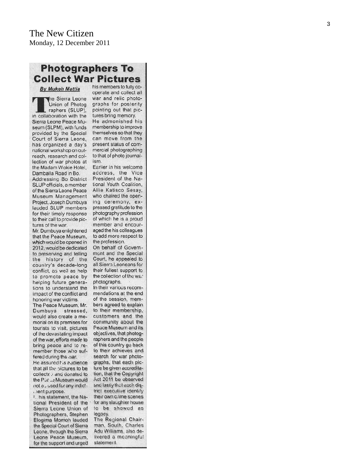# **Photographers To Collect War Pictures**

**By Mukeh Mattia** 

the Sierra Leone Union of Photog raphers (SLUP), in collaboration with the Sierra Leone Peace Museum (SLPM), with funds provided by the Special Court of Sierra Leone, has organized a day's national workshop on outreach, research and collection of war photos at the Madam Wokie Hotel, Damballa Road in Bo.

Addressing Bo District SLUP officials, a member of the Sierra Leone Peace Museum Management Project, Joseph Dumbuya lauded SLUP members for their timely response to their call to provide pictures of the war.

Mr. Dumbuya enlightened that the Peace Museum, which would be opened in 2012, would be dedicated to preserving and telling the history of the country's decade-long conflict, as well as help to promote peace by helping future generations to understand the impact of the conflict and honoring war victims.

The Peace Museum, Mr. Dumbuya stressed, would also create a memorial on its premises for tourists to visit, pictures of the devastating impact of the war, efforts made to bring peace and to remember those who suffered during the war.

He assured his audience that all the pictures to be collecte . and donated to the PSE Je Museum would not o . used for any indictment purpose.

I. his statement, the National President of the Sierra Leone Union of Photographers, Stephen Elogima Momoh lauded the Special Court of Sierra Leone, through the Sierra Leone Peace Museum, for the support and urged

his members to fully cooperate and collect all war and relic photographs for posterity pointing out that pictures bring memory. He admonished his membership to improve themselves so that they can move from the present status of commercial photographing to that of photo journalism.

Earlier in his welcome address, the Vice President of the National Youth Coalition, Allie Katisco Sesay, who chaired the opening ceremony, expressed gratitude to the photography profession of which he is a proud member and encouraged the his colleagues to add more respect to the profession.

On behalf of Government and the Special Court, he appealed to all Sierra Leoneans for their fullest support to the collection of the war photographs.

In their various recommendations at the end of the session, members agreed to explain to their membership, customers and the community about the Peace Museum and its objectives, that photographers and the people of this country go back to their achieves and. search for war photographs, that each picture be given accreditation, that the Copyright Act 2011 be observed and lastly that each district executive identify their own crime scenes for any slaughter house to be showed as legacy.

The Regional Chairman, South, Charles Adu Williams, also delivered a meaningfu! statement.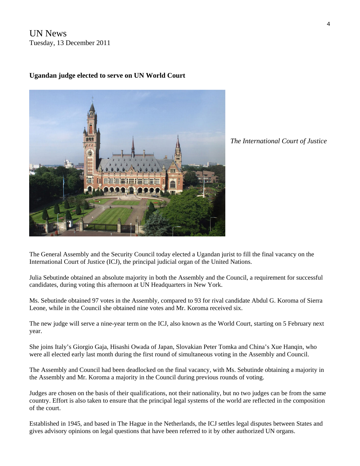# UN News Tuesday, 13 December 2011



#### **Ugandan judge elected to serve on UN World Court**

*The International Court of Justice* 

The General Assembly and the Security Council today elected a Ugandan jurist to fill the final vacancy on the International Court of Justice (ICJ), the principal judicial organ of the United Nations.

Julia Sebutinde obtained an absolute majority in both the Assembly and the Council, a requirement for successful candidates, during voting this afternoon at UN Headquarters in New York.

Ms. Sebutinde obtained 97 votes in the Assembly, compared to 93 for rival candidate Abdul G. Koroma of Sierra Leone, while in the Council she obtained nine votes and Mr. Koroma received six.

The new judge will serve a nine-year term on the ICJ, also known as the World Court, starting on 5 February next year.

She joins Italy's Giorgio Gaja, Hisashi Owada of Japan, Slovakian Peter Tomka and China's Xue Hanqin, who were all elected early last month during the first round of simultaneous voting in the Assembly and Council.

The Assembly and Council had been deadlocked on the final vacancy, with Ms. Sebutinde obtaining a majority in the Assembly and Mr. Koroma a majority in the Council during previous rounds of voting.

Judges are chosen on the basis of their qualifications, not their nationality, but no two judges can be from the same country. Effort is also taken to ensure that the principal legal systems of the world are reflected in the composition of the court.

Established in 1945, and based in The Hague in the Netherlands, the ICJ settles legal disputes between States and gives advisory opinions on legal questions that have been referred to it by other authorized UN organs.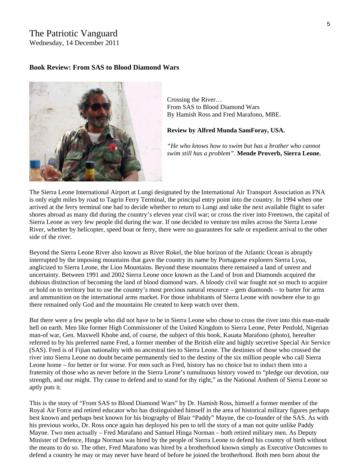# The Patriotic Vanguard Wednesday, 14 December 2011

#### **Book Review: From SAS to Blood Diamond Wars**



Crossing the River… From SAS to Blood Diamond Wars By Hamish Ross and Fred Marafono, MBE.

**Review by Alfred Munda SamForay, USA.**

*"He who knows how to swim but has a brother who cannot swim still has a problem".* **Mende Proverb, Sierra Leone.**

The Sierra Leone International Airport at Lungi designated by the International Air Transport Association as FNA is only eight miles by road to Tagrin Ferry Terminal, the principal entry point into the country. In 1994 when one arrived at the ferry terminal one had to decide whether to return to Lungi and take the next available flight to safer shores abroad as many did during the country's eleven year civil war; or cross the river into Freetown, the capital of Sierra Leone as very few people did during the war. If one decided to venture ten miles across the Sierra Leone River, whether by helicopter, speed boat or ferry, there were no guarantees for safe or expedient arrival to the other side of the river.

Beyond the Sierra Leone River also known as River Rokel, the blue horizon of the Atlantic Ocean is abruptly interrupted by the imposing mountains that gave the country its name by Portuguese explorers Sierra Lyoa, anglicized to Sierra Leone, the Lion Mountains. Beyond these mountains there remained a land of unrest and uncertainty. Between 1991 and 2002 Sierra Leone once known as the Land of Iron and Diamonds acquired the dubious distinction of becoming the land of blood diamond wars. A bloody civil war fought not so much to acquire or hold on to territory but to use the country's most precious natural resource – gem diamonds – to barter for arms and ammunition on the international arms market. For those inhabitants of Sierra Leone with nowhere else to go there remained only God and the mountains He created to keep watch over them.

But there were a few people who did not have to be in Sierra Leone who chose to cross the river into this man-made hell on earth. Men like former High Commissioner of the United Kingdom to Sierra Leone, Peter Penfold, Nigerian man-of war, Gen. Maxwell Khobe and, of course, the subject of this book, Kauata Marafono (photo), hereafter referred to by his preferred name Fred, a former member of the British elite and highly secretive Special Air Service (SAS). Fred is of Fijian nationality with no ancestral ties to Sierra Leone. The destinies of those who crossed the river into Sierra Leone no doubt became permanently tied to the destiny of the six million people who call Sierra Leone home – for better or for worse. For men such as Fred, history has no choice but to induct them into a fraternity of those who as never before in the Sierra Leone's tumultuous history vowed to "pledge our devotion, our strength, and our might. Thy cause to defend and to stand for thy right," as the National Anthem of Sierra Leone so aptly puts it.

This is the story of "From SAS to Blood Diamond Wars" by Dr. Hamish Ross, himself a former member of the Royal Air Force and retired educator who has distinguished himself in the area of historical military figures perhaps best known and perhaps best known for his biography of Blair "Paddy" Mayne, the co-founder of the SAS. As with his previous works, Dr. Ross once again has deployed his pen to tell the story of a man not quite unlike Paddy Mayne. Two men actually – Fred Marafano and Samuel Hinga Norman – both retired military men. As Deputy Minister of Defence, Hinga Norman was hired by the people of Sierra Leone to defend his country of birth without the means to do so. The other, Fred Marafono was hired by a brotherhood known simply as Executive Outcomes to defend a country he may or may never have heard of before he joined the brotherhood. Both men born about the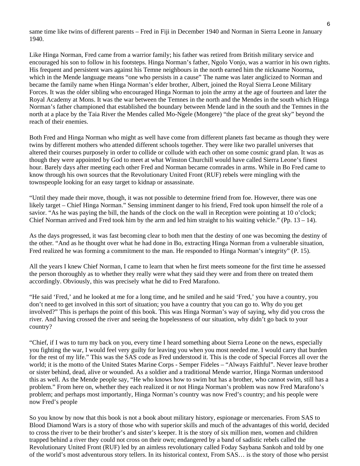same time like twins of different parents – Fred in Fiji in December 1940 and Norman in Sierra Leone in January 1940.

Like Hinga Norman, Fred came from a warrior family; his father was retired from British military service and encouraged his son to follow in his footsteps. Hinga Norman's father, Ngolo Vonjo, was a warrior in his own rights. His frequent and persistent wars against his Temne neighbours in the north earned him the nickname Noorma, which in the Mende language means "one who persists in a cause" The name was later anglicized to Norman and became the family name when Hinga Norman's elder brother, Albert, joined the Royal Sierra Leone Military Forces. It was the older sibling who encouraged Hinga Norman to join the army at the age of fourteen and later the Royal Academy at Mons. It was the war between the Temnes in the north and the Mendes in the south which Hinga Norman's father championed that established the boundary between Mende land in the south and the Temnes in the north at a place by the Taia River the Mendes called Mo-Ngele (Mongere) "the place of the great sky" beyond the reach of their enemies.

Both Fred and Hinga Norman who might as well have come from different planets fast became as though they were twins by different mothers who attended different schools together. They were like two parallel universes that altered their courses purposely in order to collide or collude with each other on some cosmic grand plan. It was as though they were appointed by God to meet at what Winston Churchill would have called Sierra Leone's finest hour. Barely days after meeting each other Fred and Norman became comrades in arms. While in Bo Fred came to know through his own sources that the Revolutionary United Front (RUF) rebels were mingling with the townspeople looking for an easy target to kidnap or assassinate.

"Until they made their move, though, it was not possible to determine friend from foe. However, there was one likely target – Chief Hinga Norman." Sensing imminent danger to his friend, Fred took upon himself the role of a savior. "As he was paying the bill, the hands of the clock on the wall in Reception were pointing at 10 o'clock; Chief Norman arrived and Fred took him by the arm and led him straight to his waiting vehicle." (Pp. 13 – 14).

As the days progressed, it was fast becoming clear to both men that the destiny of one was becoming the destiny of the other. "And as he thought over what he had done in Bo, extracting Hinga Norman from a vulnerable situation, Fred realized he was forming a commitment to the man. He responded to Hinga Norman's integrity" (P. 15).

All the years I knew Chief Norman, I came to learn that when he first meets someone for the first time he assessed the person thoroughly as to whether they really were what they said they were and from there on treated them accordingly. Obviously, this was precisely what he did to Fred Marafono.

"He said 'Fred,' and he looked at me for a long time, and he smiled and he said 'Fred,' you have a country, you don't need to get involved in this sort of situation; you have a country that you can go to. Why do you get involved?" This is perhaps the point of this book. This was Hinga Norman's way of saying, why did you cross the river. And having crossed the river and seeing the hopelessness of our situation, why didn't go back to your country?

"Chief, if I was to turn my back on you, every time I heard something about Sierra Leone on the news, especially you fighting the war, I would feel very guilty for leaving you when you most needed me. I would carry that burden for the rest of my life." This was the SAS code as Fred understood it. This is the code of Special Forces all over the world; it is the motto of the United States Marine Corps - Semper Fideles – "Always Faithful". Never leave brother or sister behind, dead, alive or wounded. As a soldier and a traditional Mende warrior, Hinga Norman understood this as well. As the Mende people say, "He who knows how to swim but has a brother, who cannot swim, still has a problem." From here on, whether they each realized it or not Hinga Norman's problem was now Fred Marafono's problem; and perhaps most importantly, Hinga Norman's country was now Fred's country; and his people were now Fred's people

So you know by now that this book is not a book about military history, espionage or mercenaries. From SAS to Blood Diamond Wars is a story of those who with superior skills and much of the advantages of this world, decided to cross the river to be their brother's and sister's keeper. It is the story of six million men, women and children trapped behind a river they could not cross on their own; endangered by a band of sadistic rebels called the Revolutionary United Front (RUF) led by an aimless revolutionary called Foday Saybana Sankoh and told by one of the world's most adventurous story tellers. In its historical context, From SAS… is the story of those who persist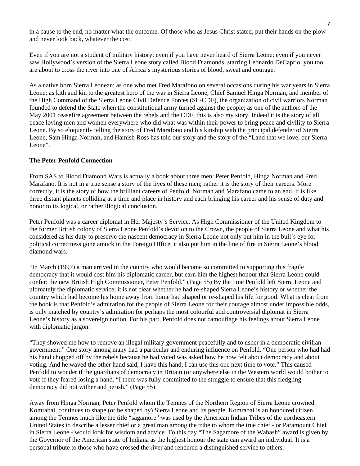in a cause to the end, no matter what the outcome. Of those who as Jesus Christ stated, put their hands on the plow and never look back, whatever the cost.

Even if you are not a student of military history; even if you have never heard of Sierra Leone; even if you never saw Hollywood's version of the Sierra Leone story called Blood Diamonds, starring Leonardo DeCaprio, you too are about to cross the river into one of Africa's mysterious stories of blood, sweat and courage.

As a native born Sierra Leonean; as one who met Fred Marafono on several occasions during his war years in Sierra Leone; as kith and kin to the greatest hero of the war in Sierra Leone, Chief Samuel Hinga Norman, and member of the High Command of the Sierra Leone Civil Defence Forces (SL-CDF), the organization of civil warriors Norman founded to defend the State when the constitutional army turned against the people; as one of the authors of the May 2001 ceasefire agreement between the rebels and the CDF, this is also my story. Indeed it is the story of all peace loving men and women everywhere who did what was within their power to bring peace and civility to Sierra Leone. By so eloquently telling the story of Fred Marafono and his kinship with the principal defender of Sierra Leone, Sam Hinga Norman, and Hamish Ross has told our story and the story of the "Land that we love, our Sierra Leone".

#### **The Peter Penfold Connection**

From SAS to Blood Diamond Wars is actually a book about three men: Peter Penfold, Hinga Norman and Fred Marafano. It is not in a true sense a story of the lives of these men; rather it is the story of their careers. More correctly, it is the story of how the brilliant careers of Penfold, Norman and Marafano came to an end. It is like three distant planets colliding at a time and place in history and each bringing his career and his sense of duty and honor to its logical, or rather illogical conclusion.

Peter Penfold was a career diplomat in Her Majesty's Service. As High Commissioner of the United Kingdom to the former British colony of Sierra Leone Penfold's devotion to the Crown, the people of Sierra Leone and what his considered as his duty to preserve the nascent democracy in Sierra Leone not only put him in the bull's eye for political correctness gone amuck in the Foreign Office, it also put him in the line of fire in Sierra Leone's blood diamond wars.

"In March (1997) a man arrived in the country who would become so committed to supporting this fragile democracy that it would cost him his diplomatic career, but earn him the highest honour that Sierra Leone could confer: the new British High Commissioner, Peter Penfold." (Page 55) By the time Penfold left Sierra Leone and ultimately the diplomatic service, it is not clear whether he had re-shaped Sierra Leone's history or whether the country which had become his home away from home had shaped or re-shaped his life for good. What is clear from the book is that Penfold's admiration for the people of Sierra Leone for their courage almost under impossible odds, is only matched by country's admiration for perhaps the most colourful and controversial diplomat in Sierra Leone's history as a sovereign notion. For his part, Penfold does not camouflage his feelings about Sierra Leone with diplomatic jargon.

"They showed me how to remove an illegal military government peacefully and to usher in a democratic civilian government." One story among many had a particular and enduring influence on Penfold. "One person who had had his hand chopped off by the rebels because he had voted was asked how he now felt about democracy and about voting. And he waved the other hand said, I have this hand, I can use this one next time to vote." This caused Penfold to wonder if the guardians of democracy in Britain (or anywhere else in the Western world would bother to vote if they feared losing a hand. "I there was fully committed to the struggle to ensure that this fledgling democracy did not wither and perish." (Page 55)

Away from Hinga Norman, Peter Penfold whom the Temnes of the Northern Region of Sierra Leone crowned Komrabai, continues to shape (or be shaped by) Sierra Leone and its people. Komrabai is an honoured citizen among the Temnes much like the title "sagamore" was used by the American Indian Tribes of the northeastern United States to describe a lesser chief or a great man among the tribe to whom the true chief - or Paramount Chief in Sierra Leone - would look for wisdom and advice. To this day "The Sagamore of the Wabash" award is given by the Governor of the American state of Indiana as the highest honour the state can award an individual. It is a personal tribute to those who have crossed the river and rendered a distinguished service to others.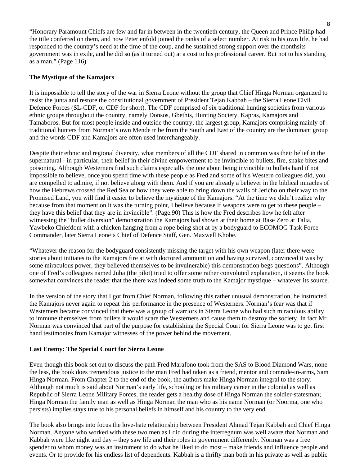"Honorary Paramount Chiefs are few and far in between in the twentieth century, the Queen and Prince Philip had the title conferred on them, and now Peter enfold joined the ranks of a select number. At risk to his own life, he had responded to the country's need at the time of the coup, and he sustained strong support over the monthsits government was in exile, and he did so (as it turned out) at a cost to his professional career. But not to his standing as a man." (Page 116)

#### **The Mystique of the Kamajors**

It is impossible to tell the story of the war in Sierra Leone without the group that Chief Hinga Norman organized to resist the junta and restore the constitutional government of President Tejan Kabbah – the Sierra Leone Civil Defence Forces (SL-CDF, or CDF for short). The CDF comprised of six traditional hunting societies from various ethnic groups throughout the country, namely Donsos, Gbethis, Hunting Society, Kapras, Kamajors and Tamaboros. But for most people inside and outside the country, the largest group, Kamajors comprising mainly of traditional hunters from Norman's own Mende tribe from the South and East of the country are the dominant group and the words CDF and Kamajors are often used interchangeably.

Despite their ethnic and regional diversity, what members of all the CDF shared in common was their belief in the supernatural - in particular, their belief in their divine empowerment to be invincible to bullets, fire, snake bites and poisoning. Although Westerners find such claims especially the one about being invincible to bullets hard if not impossible to believe, once you spend time with these people as Fred and some of his Western colleagues did, you are compelled to admire, if not believe along with them. And if you are already a believer in the biblical miracles of how the Hebrews crossed the Red Sea or how they were able to bring down the walls of Jericho on their way to the Promised Land, you will find it easier to believe the mystique of the Kamajors. "At the time we didn't realize why because from that moment on it was the turning point, I believe because if weapons were to get to these people – they have this belief that they are in invincible". (Page.90) This is how the Fred describes how he felt after witnessing the "bullet diversion" demonstration the Kamajors had shown at their home at Base Zero at Talia, Yawbeko Chiefdom with a chicken hanging from a rope being shot at by a bodyguard to ECOMOG Task Force Commander, later Sierra Leone's Chief of Defence Staff, Gen. Maxwell Khobe.

"Whatever the reason for the bodyguard consistently missing the target with his own weapon (later there were stories about initiates to the Kamajors fire at with doctored ammunition and having survived, convinced it was by some miraculous power, they believed themselves to be invulnerable) this demonstration begs questions". Although one of Fred's colleagues named Juba (the pilot) tried to offer some rather convoluted explanation, it seems the book somewhat convinces the reader that the there was indeed some truth to the Kamajor mystique – whatever its source.

In the version of the story that I got from Chief Norman, following this rather unusual demonstration, he instructed the Kamajors never again to repeat this performance in the presence of Westerners. Norman's fear was that if Westerners became convinced that there was a group of warriors in Sierra Leone who had such miraculous ability to immune themselves from bullets it would scare the Westerners and cause them to destroy the society. In fact Mr. Norman was convinced that part of the purpose for establishing the Special Court for Sierra Leone was to get first hand testimonies from Kamajor witnesses of the power behind the movement.

#### **Last Enemy: The Special Court for Sierra Leone**

Even though this book set out to discuss the path Fred Marafono took from the SAS to Blood Diamond Wars, none the less, the book does tremendous justice to the man Fred had taken as a friend, mentor and comrade-in-arms, Sam Hinga Norman. From Chapter 2 to the end of the book, the authors make Hinga Norman integral to the story. Although not much is said about Norman's early life, schooling or his military career in the colonial as well as Republic of Sierra Leone Military Forces, the reader gets a healthy dose of Hinga Norman the soldier-statesman; Hinga Norman the family man as well as Hinga Norman the man who as his name Norman (or Noorma, one who persists) implies stays true to his personal beliefs in himself and his country to the very end.

The book also brings into focus the love-hate relationship between President Ahmad Tejan Kabbah and Chief Hinga Norman. Anyone who worked with these two men as I did during the interregnum was well aware that Norman and Kabbah were like night and day – they saw life and their roles in government differently. Norman was a free spender to whom money was an instrument to do what he liked to do most – make friends and influence people and events. Or to provide for his endless list of dependents. Kabbah is a thrifty man both in his private as well as public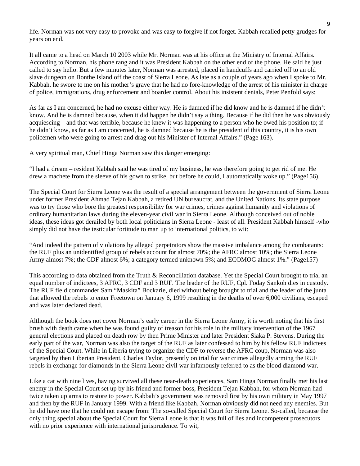life. Norman was not very easy to provoke and was easy to forgive if not forget. Kabbah recalled petty grudges for years on end.

It all came to a head on March 10 2003 while Mr. Norman was at his office at the Ministry of Internal Affairs. According to Norman, his phone rang and it was President Kabbah on the other end of the phone. He said he just called to say hello. But a few minutes later, Norman was arrested, placed in handcuffs and carried off to an old slave dungeon on Bonthe Island off the coast of Sierra Leone. As late as a couple of years ago when I spoke to Mr. Kabbah, he swore to me on his mother's grave that he had no fore-knowledge of the arrest of his minister in charge of police, immigrations, drug enforcement and boarder control. About his insistent denials, Peter Penfold says:

As far as I am concerned, he had no excuse either way. He is damned if he did know and he is damned if he didn't know. And he is damned because, when it did happen he didn't say a thing. Because if he did then he was obviously acquiescing – and that was terrible, because he knew it was happening to a person who he owed his position to; if he didn't know, as far as I am concerned, he is damned because he is the president of this country, it is his own policemen who were going to arrest and drag out his Minister of Internal Affairs." (Page 163).

A very spiritual man, Chief Hinga Norman saw this danger emerging:

"I had a dream – resident Kabbah said he was tired of my business, he was therefore going to get rid of me. He drew a machete from the sleeve of his gown to strike, but before he could, I automatically woke up." (Page156).

The Special Court for Sierra Leone was the result of a special arrangement between the government of Sierra Leone under former President Ahmad Tejan Kabbah, a retired UN bureaucrat, and the United Nations. Its state purpose was to try those who bore the greatest responsibility for war crimes, crimes against humanity and violations of ordinary humanitarian laws during the eleven-year civil war in Sierra Leone. Although conceived out of noble ideas, these ideas got derailed by both local politicians in Sierra Leone - least of all. President Kabbah himself -who simply did not have the testicular fortitude to man up to international politics, to wit:

"And indeed the pattern of violations by alleged perpetrators show the massive imbalance among the combatants: the RUF plus an unidentified group of rebels account for almost 70%; the AFRC almost 10%; the Sierra Leone Army almost 7%; the CDF almost 6%; a category termed unknown 5%; and ECOMOG almost 1%." (Page157)

This according to data obtained from the Truth & Reconciliation database. Yet the Special Court brought to trial an equal number of indictees, 3 AFRC, 3 CDF and 3 RUF. The leader of the RUF, Cpl. Foday Sankoh dies in custody. The RUF field commander Sam "Maskita" Bockarie, died without being brought to trial and the leader of the junta that allowed the rebels to enter Freetown on January 6, 1999 resulting in the deaths of over 6,000 civilians, escaped and was later declared dead.

Although the book does not cover Norman's early career in the Sierra Leone Army, it is worth noting that his first brush with death came when he was found guilty of treason for his role in the military intervention of the 1967 general elections and placed on death row by then Prime Minister and later President Siaka P. Stevens. During the early part of the war, Norman was also the target of the RUF as later confessed to him by his fellow RUF indictees of the Special Court. While in Liberia trying to organize the CDF to reverse the AFRC coup, Norman was also targeted by then Liberian President, Charles Taylor, presently on trial for war crimes allegedly arming the RUF rebels in exchange for diamonds in the Sierra Leone civil war infamously referred to as the blood diamond war.

Like a cat with nine lives, having survived all these near-death experiences, Sam Hinga Norman finally met his last enemy in the Special Court set up by his friend and former boss, President Tejan Kabbah, for whom Norman had twice taken up arms to restore to power. Kabbah's government was removed first by his own military in May 1997 and then by the RUF in January 1999. With a friend like Kabbah, Norman obviously did not need any enemies. But he did have one that he could not escape from: The so-called Special Court for Sierra Leone. So-called, because the only thing special about the Special Court for Sierra Leone is that it was full of lies and incompetent prosecutors with no prior experience with international jurisprudence. To wit,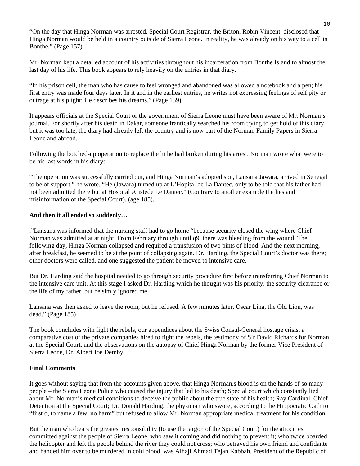"On the day that Hinga Norman was arrested, Special Court Registrar, the Briton, Robin Vincent, disclosed that Hinga Norman would be held in a country outside of Sierra Leone. In reality, he was already on his way to a cell in Bonthe." (Page 157)

Mr. Norman kept a detailed account of his activities throughout his incarceration from Bonthe Island to almost the last day of his life. This book appears to rely heavily on the entries in that diary.

"In his prison cell, the man who has cause to feel wronged and abandoned was allowed a notebook and a pen; his first entry was made four days later. In it and in the earliest entries, he writes not expressing feelings of self pity or outrage at his plight: He describes his dreams." (Page 159).

It appears officials at the Special Court or the government of Sierra Leone must have been aware of Mr. Norman's journal. For shortly after his death in Dakar, someone frantically searched his room trying to get hold of this diary, but it was too late, the diary had already left the country and is now part of the Norman Family Papers in Sierra Leone and abroad.

Following the botched-up operation to replace the hi he had broken during his arrest, Norman wrote what were to be his last words in his diary:

"The operation was successfully carried out, and Hinga Norman's adopted son, Lansana Jawara, arrived in Senegal to be of support," he wrote. "He (Jawara) turned up at L'Hopital de La Dantec, only to be told that his father had not been admitted there but at Hospital Aristede Le Dantec." (Contrary to another example the lies and misinformation of the Special Court). (age 185).

#### **And then it all ended so suddenly…**

."Lansana was informed that the nursing staff had to go home "because security closed the wing where Chief Norman was admitted at at night. From February through until q9, there was bleeding from the wound. The following day, Hinga Norman collapsed and required a transfusion of two pints of blood. And the next morning, after breakfast, he seemed to be at the point of collapsing again. Dr. Harding, the Special Court's doctor was there; other doctors were called, and one suggested the patient be moved to intensive care.

But Dr. Harding said the hospital needed to go through security procedure first before transferring Chief Norman to the intensive care unit. At this stage I asked Dr. Harding which he thought was his priority, the security clearance or the life of my father, but he simly ignored me.

Lansana was then asked to leave the room, but he refused. A few minutes later, Oscar Lina, the Old Lion, was dead." (Page 185)

The book concludes with fight the rebels, our appendices about the Swiss Consul-General hostage crisis, a comparative cost of the private companies hired to fight the rebels, the testimony of Sir David Richards for Norman at the Special Court, and the observations on the autopsy of Chief Hinga Norman by the former Vice President of Sierra Leone, Dr. Albert Joe Demby

#### **Final Comments**

It goes without saying that from the accounts given above, that Hinga Norman,s blood is on the hands of so many people – the Sierra Leone Police who caused the injury that led to his death; Special court which constantly lied about Mr. Norman's medical conditions to deceive the public about the true state of his health; Ray Cardinal, Chief Detention at the Special Court; Dr. Donald Harding, the physician who swore, according to the Hippocratic Oath to "first d, to name a few. no harm" but refused to allow Mr. Norman appropriate medical treatment for his condition.

But the man who bears the greatest responsibility (to use the jargon of the Special Court) for the atrocities committed against the people of Sierra Leone, who saw it coming and did nothing to prevent it; who twice boarded the helicopter and left the people behind the river they could not cross; who betrayed his own friend and confidante and handed him over to be murdered in cold blood, was Alhaji Ahmad Tejan Kabbah, President of the Republic of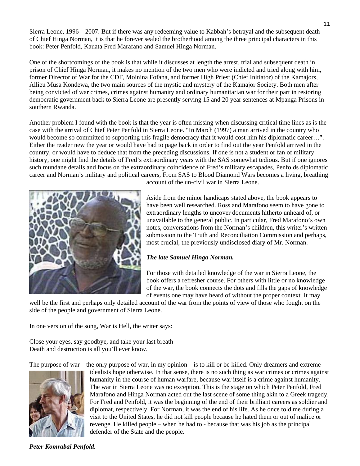Sierra Leone, 1996 – 2007. But if there was any redeeming value to Kabbah's betrayal and the subsequent death of Chief Hinga Norman, it is that he forever sealed the brotherhood among the three principal characters in this book: Peter Penfold, Kauata Fred Marafano and Samuel Hinga Norman.

One of the shortcomings of the book is that while it discusses at length the arrest, trial and subsequent death in prison of Chief Hinga Norman, it makes no mention of the two men who were indicted and tried along with him, former Director of War for the CDF, Moinina Fofana, and former High Priest (Chief Initiator) of the Kamajors, Allieu Musa Kondewa, the two main sources of the mystic and mystery of the Kamajor Society. Both men after being convicted of war crimes, crimes against humanity and ordinary humanitarian war for their part in restoring democratic government back to Sierra Leone are presently serving 15 and 20 year sentences at Mpanga Prisons in southern Rwanda.

Another problem I found with the book is that the year is often missing when discussing critical time lines as is the case with the arrival of Chief Peter Penfold in Sierra Leone. "In March (1997) a man arrived in the country who would become so committed to supporting this fragile democracy that it would cost him his diplomatic career...". Either the reader new the year or would have had to page back in order to find out the year Penfold arrived in the country, or would have to deduce that from the preceding discussions. If one is not a student or fan of military history, one might find the details of Fred's extraordinary years with the SAS somewhat tedious. But if one ignores such mundane details and focus on the extraordinary coincidence of Fred's military escapades, Penfolds diplomatic career and Norman's military and political careers, From SAS to Blood Diamond Wars becomes a living, breathing



account of the un-civil war in Sierra Leone.

Aside from the minor handicaps stated above, the book appears to have been well researched. Ross and Marafono seem to have gone to extraordinary lengths to uncover documents hitherto unheard of, or unavailable to the general public. In particular, Fred Marafono's own notes, conversations from the Norman's children, this writer's written submission to the Truth and Reconciliation Commission and perhaps, most crucial, the previously undisclosed diary of Mr. Norman.

#### *The late Samuel Hinga Norman.*

For those with detailed knowledge of the war in Sierra Leone, the book offers a refresher course. For others with little or no knowledge of the war, the book connects the dots and fills the gaps of knowledge of events one may have heard of without the proper context. It may

well be the first and perhaps only detailed account of the war from the points of view of those who fought on the side of the people and government of Sierra Leone.

In one version of the song, War is Hell, the writer says:

Close your eyes, say goodbye, and take your last breath Death and destruction is all you'll ever know.

The purpose of war – the only purpose of war, in my opinion – is to kill or be killed. Only dreamers and extreme



idealists hope otherwise. In that sense, there is no such thing as war crimes or crimes against humanity in the course of human warfare, because war itself is a crime against humanity. The war in Sierra Leone was no exception. This is the stage on which Peter Penfold, Fred Marafono and Hinga Norman acted out the last scene of some thing akin to a Greek tragedy. For Fred and Penfold, it was the beginning of the end of their brilliant careers as soldier and diplomat, respectively. For Norman, it was the end of his life. As he once told me during a visit to the United States, he did not kill people because he hated them or out of malice or revenge. He killed people – when he had to - because that was his job as the principal defender of the State and the people.

*Peter Komrabai Penfold.*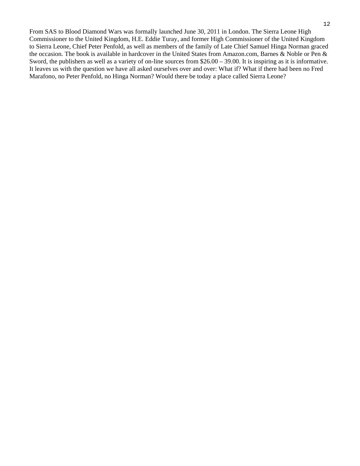From SAS to Blood Diamond Wars was formally launched June 30, 2011 in London. The Sierra Leone High Commissioner to the United Kingdom, H.E. Eddie Turay, and former High Commissioner of the United Kingdom to Sierra Leone, Chief Peter Penfold, as well as members of the family of Late Chief Samuel Hinga Norman graced the occasion. The book is available in hardcover in the United States from Amazon.com, Barnes & Noble or Pen & Sword, the publishers as well as a variety of on-line sources from \$26.00 – 39.00. It is inspiring as it is informative. It leaves us with the question we have all asked ourselves over and over: What if? What if there had been no Fred Marafono, no Peter Penfold, no Hinga Norman? Would there be today a place called Sierra Leone?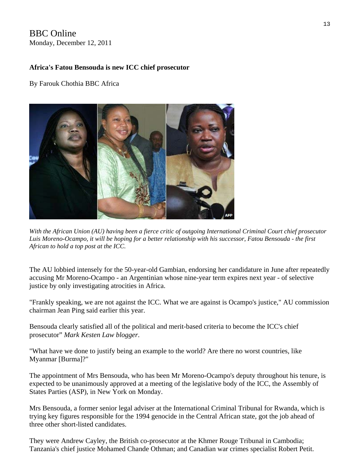# BBC Online Monday, December 12, 2011

# **Africa's Fatou Bensouda is new ICC chief prosecutor**

# By Farouk Chothia BBC Africa



*With the African Union (AU) having been a fierce critic of outgoing International Criminal Court chief prosecutor Luis Moreno-Ocampo, it will be hoping for a better relationship with his successor, Fatou Bensouda - the first African to hold a top post at the ICC.* 

The AU lobbied intensely for the 50-year-old Gambian, endorsing her candidature in June after repeatedly accusing Mr Moreno-Ocampo - an Argentinian whose nine-year term expires next year - of selective justice by only investigating atrocities in Africa.

"Frankly speaking, we are not against the ICC. What we are against is Ocampo's justice," AU commission chairman Jean Ping said earlier this year.

Bensouda clearly satisfied all of the political and merit-based criteria to become the ICC's chief prosecutor" *Mark Kesten Law blogger*.

"What have we done to justify being an example to the world? Are there no worst countries, like Myanmar [Burma]?"

The appointment of Mrs Bensouda, who has been Mr Moreno-Ocampo's deputy throughout his tenure, is expected to be unanimously approved at a meeting of the legislative body of the ICC, the Assembly of States Parties (ASP), in New York on Monday.

Mrs Bensouda, a former senior legal adviser at the International Criminal Tribunal for Rwanda, which is trying key figures responsible for the 1994 genocide in the Central African state, got the job ahead of three other short-listed candidates.

They were Andrew Cayley, the British co-prosecutor at the Khmer Rouge Tribunal in Cambodia; Tanzania's chief justice Mohamed Chande Othman; and Canadian war crimes specialist Robert Petit.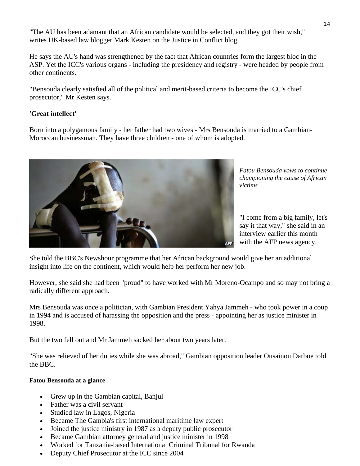"The AU has been adamant that an African candidate would be selected, and they got their wish," writes UK-based law blogger Mark Kesten on the Justice in Conflict blog.

He says the AU's hand was strengthened by the fact that African countries form the largest bloc in the ASP. Yet the ICC's various organs - including the presidency and registry - were headed by people from other continents.

"Bensouda clearly satisfied all of the political and merit-based criteria to become the ICC's chief prosecutor," Mr Kesten says.

# **'Great intellect'**

Born into a polygamous family - her father had two wives - Mrs Bensouda is married to a Gambian-Moroccan businessman. They have three children - one of whom is adopted.



*Fatou Bensouda vows to continue championing the cause of African victims* 

"I come from a big family, let's say it that way," she said in an interview earlier this month with the AFP news agency.

She told the BBC's Newshour programme that her African background would give her an additional insight into life on the continent, which would help her perform her new job.

However, she said she had been "proud" to have worked with Mr Moreno-Ocampo and so may not bring a radically different approach.

Mrs Bensouda was once a politician, with Gambian President Yahya Jammeh - who took power in a coup in 1994 and is accused of harassing the opposition and the press - appointing her as justice minister in 1998.

But the two fell out and Mr Jammeh sacked her about two years later.

"She was relieved of her duties while she was abroad," Gambian opposition leader Ousainou Darboe told the BBC.

# **Fatou Bensouda at a glance**

- Grew up in the Gambian capital, Banjul
- Father was a civil servant
- Studied law in Lagos, Nigeria
- Became The Gambia's first international maritime law expert
- Joined the justice ministry in 1987 as a deputy public prosecutor
- Became Gambian attorney general and justice minister in 1998
- Worked for Tanzania-based International Criminal Tribunal for Rwanda
- Deputy Chief Prosecutor at the ICC since 2004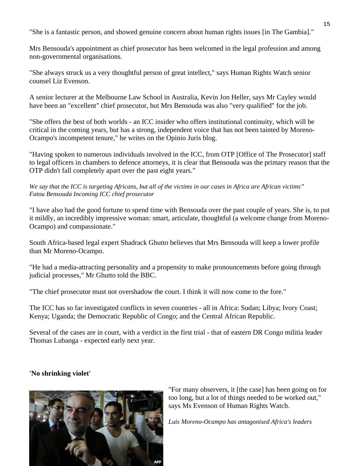"She is a fantastic person, and showed genuine concern about human rights issues [in The Gambia]."

Mrs Bensouda's appointment as chief prosecutor has been welcomed in the legal profession and among non-governmental organisations.

"She always struck us a very thoughtful person of great intellect," says Human Rights Watch senior counsel Liz Evenson.

A senior lecturer at the Melbourne Law School in Australia, Kevin Jon Heller, says Mr Cayley would have been an "excellent" chief prosecutor, but Mrs Bensouda was also "very qualified" for the job.

"She offers the best of both worlds - an ICC insider who offers institutional continuity, which will be critical in the coming years, but has a strong, independent voice that has not been tainted by Moreno-Ocampo's incompetent tenure," he writes on the Opinio Juris blog.

"Having spoken to numerous individuals involved in the ICC, from OTP [Office of The Prosecutor] staff to legal officers in chambers to defence attorneys, it is clear that Bensouda was the primary reason that the OTP didn't fall completely apart over the past eight years."

*We say that the ICC is targeting Africans, but all of the victims in our cases in Africa are African victims" Fatou Bensouda Incoming ICC chief prosecutor* 

"I have also had the good fortune to spend time with Bensouda over the past couple of years. She is, to put it mildly, an incredibly impressive woman: smart, articulate, thoughtful (a welcome change from Moreno-Ocampo) and compassionate."

South Africa-based legal expert Shadrack Ghutto believes that Mrs Bensouda will keep a lower profile than Mr Moreno-Ocampo.

"He had a media-attracting personality and a propensity to make pronouncements before going through judicial processes," Mr Ghutto told the BBC.

"The chief prosecutor must not overshadow the court. I think it will now come to the fore."

The ICC has so far investigated conflicts in seven countries - all in Africa: Sudan; Libya; Ivory Coast; Kenya; Uganda; the Democratic Republic of Congo; and the Central African Republic.

Several of the cases are in court, with a verdict in the first trial - that of eastern DR Congo militia leader Thomas Lubanga - expected early next year.

#### **'No shrinking violet'**



"For many observers, it [the case] has been going on for too long, but a lot of things needed to be worked out," says Ms Evenson of Human Rights Watch.

*Luis Moreno-Ocampo has antagonised Africa's leaders*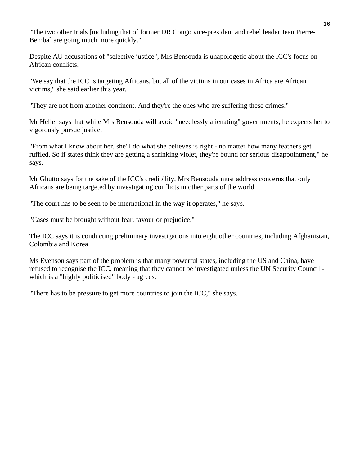"The two other trials [including that of former DR Congo vice-president and rebel leader Jean Pierre-Bemba] are going much more quickly."

Despite AU accusations of "selective justice", Mrs Bensouda is unapologetic about the ICC's focus on African conflicts.

"We say that the ICC is targeting Africans, but all of the victims in our cases in Africa are African victims," she said earlier this year.

"They are not from another continent. And they're the ones who are suffering these crimes."

Mr Heller says that while Mrs Bensouda will avoid "needlessly alienating" governments, he expects her to vigorously pursue justice.

"From what I know about her, she'll do what she believes is right - no matter how many feathers get ruffled. So if states think they are getting a shrinking violet, they're bound for serious disappointment," he says.

Mr Ghutto says for the sake of the ICC's credibility, Mrs Bensouda must address concerns that only Africans are being targeted by investigating conflicts in other parts of the world.

"The court has to be seen to be international in the way it operates," he says.

"Cases must be brought without fear, favour or prejudice."

The ICC says it is conducting preliminary investigations into eight other countries, including Afghanistan, Colombia and Korea.

Ms Evenson says part of the problem is that many powerful states, including the US and China, have refused to recognise the ICC, meaning that they cannot be investigated unless the UN Security Council which is a "highly politicised" body - agrees.

"There has to be pressure to get more countries to join the ICC," she says.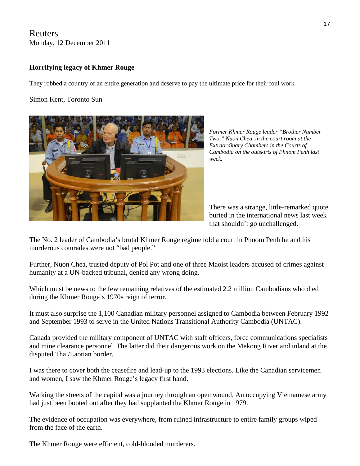# Reuters Monday, 12 December 2011

# **Horrifying legacy of Khmer Rouge**

They robbed a country of an entire generation and deserve to pay the ultimate price for their foul work

# Simon Kent, Toronto Sun



*Former Khmer Rouge leader "Brother Number Two," Nuon Chea, in the court room at the Extraordinary Chambers in the Courts of Cambodia on the outskirts of Phnom Penh last week.* 

There was a strange, little-remarked quote buried in the international news last week that shouldn't go unchallenged.

The No. 2 leader of Cambodia's brutal Khmer Rouge regime told a court in Phnom Penh he and his murderous comrades were not "bad people."

Further, Nuon Chea, trusted deputy of Pol Pot and one of three Maoist leaders accused of crimes against humanity at a UN-backed tribunal, denied any wrong doing.

Which must be news to the few remaining relatives of the estimated 2.2 million Cambodians who died during the Khmer Rouge's 1970s reign of terror.

It must also surprise the 1,100 Canadian military personnel assigned to Cambodia between February 1992 and September 1993 to serve in the United Nations Transitional Authority Cambodia (UNTAC).

Canada provided the military component of UNTAC with staff officers, force communications specialists and mine clearance personnel. The latter did their dangerous work on the Mekong River and inland at the disputed Thai/Laotian border.

I was there to cover both the ceasefire and lead-up to the 1993 elections. Like the Canadian servicemen and women, I saw the Khmer Rouge's legacy first hand.

Walking the streets of the capital was a journey through an open wound. An occupying Vietnamese army had just been booted out after they had supplanted the Khmer Rouge in 1979.

The evidence of occupation was everywhere, from ruined infrastructure to entire family groups wiped from the face of the earth.

The Khmer Rouge were efficient, cold-blooded murderers.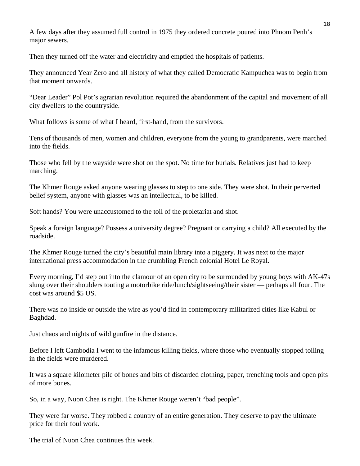A few days after they assumed full control in 1975 they ordered concrete poured into Phnom Penh's major sewers.

Then they turned off the water and electricity and emptied the hospitals of patients.

They announced Year Zero and all history of what they called Democratic Kampuchea was to begin from that moment onwards.

"Dear Leader" Pol Pot's agrarian revolution required the abandonment of the capital and movement of all city dwellers to the countryside.

What follows is some of what I heard, first-hand, from the survivors.

Tens of thousands of men, women and children, everyone from the young to grandparents, were marched into the fields.

Those who fell by the wayside were shot on the spot. No time for burials. Relatives just had to keep marching.

The Khmer Rouge asked anyone wearing glasses to step to one side. They were shot. In their perverted belief system, anyone with glasses was an intellectual, to be killed.

Soft hands? You were unaccustomed to the toil of the proletariat and shot.

Speak a foreign language? Possess a university degree? Pregnant or carrying a child? All executed by the roadside.

The Khmer Rouge turned the city's beautiful main library into a piggery. It was next to the major international press accommodation in the crumbling French colonial Hotel Le Royal.

Every morning, I'd step out into the clamour of an open city to be surrounded by young boys with AK-47s slung over their shoulders touting a motorbike ride/lunch/sightseeing/their sister — perhaps all four. The cost was around \$5 US.

There was no inside or outside the wire as you'd find in contemporary militarized cities like Kabul or Baghdad.

Just chaos and nights of wild gunfire in the distance.

Before I left Cambodia I went to the infamous killing fields, where those who eventually stopped toiling in the fields were murdered.

It was a square kilometer pile of bones and bits of discarded clothing, paper, trenching tools and open pits of more bones.

So, in a way, Nuon Chea is right. The Khmer Rouge weren't "bad people".

They were far worse. They robbed a country of an entire generation. They deserve to pay the ultimate price for their foul work.

The trial of Nuon Chea continues this week.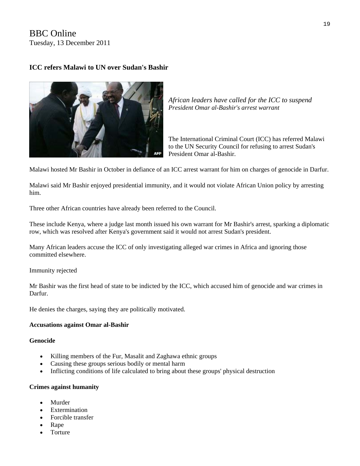BBC Online Tuesday, 13 December 2011

# **ICC refers Malawi to UN over Sudan's Bashir**



*African leaders have called for the ICC to suspend President Omar al-Bashir's arrest warrant* 

The International Criminal Court (ICC) has referred Malawi to the UN Security Council for refusing to arrest Sudan's President Omar al-Bashir.

Malawi hosted Mr Bashir in October in defiance of an ICC arrest warrant for him on charges of genocide in Darfur.

Malawi said Mr Bashir enjoyed presidential immunity, and it would not violate African Union policy by arresting him.

Three other African countries have already been referred to the Council.

These include Kenya, where a judge last month issued his own warrant for Mr Bashir's arrest, sparking a diplomatic row, which was resolved after Kenya's government said it would not arrest Sudan's president.

Many African leaders accuse the ICC of only investigating alleged war crimes in Africa and ignoring those committed elsewhere.

Immunity rejected

Mr Bashir was the first head of state to be indicted by the ICC, which accused him of genocide and war crimes in Darfur.

He denies the charges, saying they are politically motivated.

#### **Accusations against Omar al-Bashir**

#### **Genocide**

- Killing members of the Fur, Masalit and Zaghawa ethnic groups
- Causing these groups serious bodily or mental harm
- Inflicting conditions of life calculated to bring about these groups' physical destruction

#### **Crimes against humanity**

- Murder
- **Extermination**
- Forcible transfer
- Rape
- Torture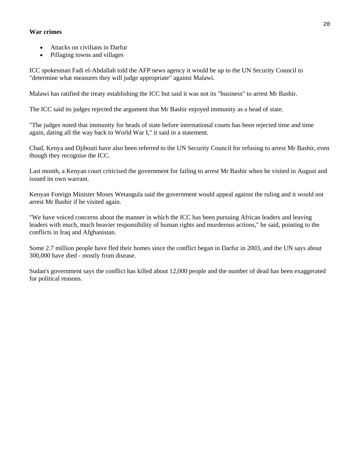#### **War crimes**

- Attacks on civilians in Darfur
- Pillaging towns and villages

ICC spokesman Fadi el-Abdallah told the AFP news agency it would be up to the UN Security Council to "determine what measures they will judge appropriate" against Malawi.

Malawi has ratified the treaty establishing the ICC but said it was not its "business" to arrest Mr Bashir.

The ICC said its judges rejected the argument that Mr Bashir enjoyed immunity as a head of state.

"The judges noted that immunity for heads of state before international courts has been rejected time and time again, dating all the way back to World War I," [it said in a statement.](http://www.icc-cpi.int/NR/exeres/B550CFFD-EB99-4940-A513-6A0C53B4B8C1.htm)

Chad, Kenya and Djibouti have also been referred to the UN Security Council for refusing to arrest Mr Bashir, even though they recognise the ICC.

Last month, a Kenyan court criticised the government for failing to arrest Mr Bashir when he visited in August and issued its own warrant.

Kenyan Foreign Minister Moses Wetangula said the government would appeal against the ruling and it would not arrest Mr Bashir if he visited again.

"We have voiced concerns about the manner in which the ICC has been pursuing African leaders and leaving leaders with much, much heavier responsibility of human rights and murderous actions," he said, pointing to the conflicts in Iraq and Afghanistan.

Some 2.7 million people have fled their homes since the conflict began in Darfur in 2003, and the UN says about 300,000 have died - mostly from disease.

Sudan's government says the conflict has killed about 12,000 people and the number of dead has been exaggerated for political reasons.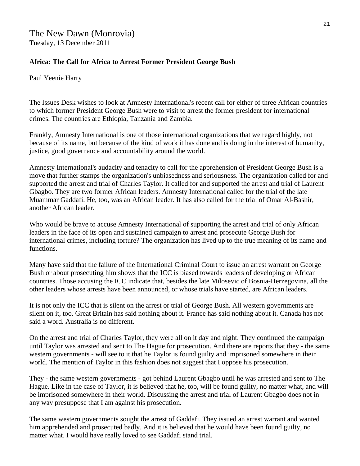# **Africa: The Call for Africa to Arrest Former President George Bush**

Paul Yeenie Harry

The Issues Desk wishes to look at Amnesty International's recent call for either of three African countries to which former President George Bush were to visit to arrest the former president for international crimes. The countries are Ethiopia, Tanzania and Zambia.

Frankly, Amnesty International is one of those international organizations that we regard highly, not because of its name, but because of the kind of work it has done and is doing in the interest of humanity, justice, good governance and accountability around the world.

Amnesty International's audacity and tenacity to call for the apprehension of President George Bush is a move that further stamps the organization's unbiasedness and seriousness. The organization called for and supported the arrest and trial of Charles Taylor. It called for and supported the arrest and trial of Laurent Gbagbo. They are two former African leaders. Amnesty International called for the trial of the late Muammar Gaddafi. He, too, was an African leader. It has also called for the trial of Omar Al-Bashir, another African leader.

Who would be brave to accuse Amnesty International of supporting the arrest and trial of only African leaders in the face of its open and sustained campaign to arrest and prosecute George Bush for international crimes, including torture? The organization has lived up to the true meaning of its name and functions.

Many have said that the failure of the International Criminal Court to issue an arrest warrant on George Bush or about prosecuting him shows that the ICC is biased towards leaders of developing or African countries. Those accusing the ICC indicate that, besides the late Milosevic of Bosnia-Herzegovina, all the other leaders whose arrests have been announced, or whose trials have started, are African leaders.

It is not only the ICC that is silent on the arrest or trial of George Bush. All western governments are silent on it, too. Great Britain has said nothing about it. France has said nothing about it. Canada has not said a word. Australia is no different.

On the arrest and trial of Charles Taylor, they were all on it day and night. They continued the campaign until Taylor was arrested and sent to The Hague for prosecution. And there are reports that they - the same western governments - will see to it that he Taylor is found guilty and imprisoned somewhere in their world. The mention of Taylor in this fashion does not suggest that I oppose his prosecution.

They - the same western governments - got behind Laurent Gbagbo until he was arrested and sent to The Hague. Like in the case of Taylor, it is believed that he, too, will be found guilty, no matter what, and will be imprisoned somewhere in their world. Discussing the arrest and trial of Laurent Gbagbo does not in any way presuppose that I am against his prosecution.

The same western governments sought the arrest of Gaddafi. They issued an arrest warrant and wanted him apprehended and prosecuted badly. And it is believed that he would have been found guilty, no matter what. I would have really loved to see Gaddafi stand trial.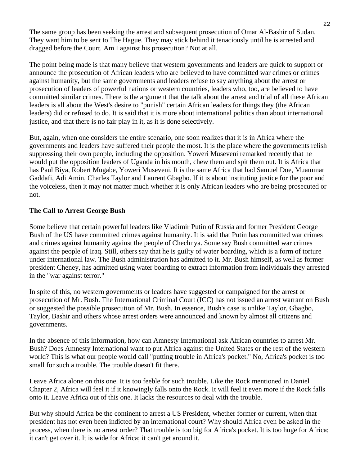The same group has been seeking the arrest and subsequent prosecution of Omar Al-Bashir of Sudan. They want him to be sent to The Hague. They may stick behind it tenaciously until he is arrested and dragged before the Court. Am I against his prosecution? Not at all.

The point being made is that many believe that western governments and leaders are quick to support or announce the prosecution of African leaders who are believed to have committed war crimes or crimes against humanity, but the same governments and leaders refuse to say anything about the arrest or prosecution of leaders of powerful nations or western countries, leaders who, too, are believed to have committed similar crimes. There is the argument that the talk about the arrest and trial of all these African leaders is all about the West's desire to "punish" certain African leaders for things they (the African leaders) did or refused to do. It is said that it is more about international politics than about international justice, and that there is no fair play in it, as it is done selectively.

But, again, when one considers the entire scenario, one soon realizes that it is in Africa where the governments and leaders have suffered their people the most. It is the place where the governments relish suppressing their own people, including the opposition. Yoweri Museveni remarked recently that he would put the opposition leaders of Uganda in his mouth, chew them and spit them out. It is Africa that has Paul Biya, Robert Mugabe, Yoweri Museveni. It is the same Africa that had Samuel Doe, Muammar Gaddafi, Adi Amin, Charles Taylor and Laurent Gbagbo. If it is about instituting justice for the poor and the voiceless, then it may not matter much whether it is only African leaders who are being prosecuted or not.

# **The Call to Arrest George Bush**

Some believe that certain powerful leaders like Vladimir Putin of Russia and former President George Bush of the US have committed crimes against humanity. It is said that Putin has committed war crimes and crimes against humanity against the people of Chechnya. Some say Bush committed war crimes against the people of Iraq. Still, others say that he is guilty of water boarding, which is a form of torture under international law. The Bush administration has admitted to it. Mr. Bush himself, as well as former president Cheney, has admitted using water boarding to extract information from individuals they arrested in the "war against terror."

In spite of this, no western governments or leaders have suggested or campaigned for the arrest or prosecution of Mr. Bush. The International Criminal Court (ICC) has not issued an arrest warrant on Bush or suggested the possible prosecution of Mr. Bush. In essence, Bush's case is unlike Taylor, Gbagbo, Taylor, Bashir and others whose arrest orders were announced and known by almost all citizens and governments.

In the absence of this information, how can Amnesty International ask African countries to arrest Mr. Bush? Does Amnesty International want to put Africa against the United States or the rest of the western world? This is what our people would call "putting trouble in Africa's pocket." No, Africa's pocket is too small for such a trouble. The trouble doesn't fit there.

Leave Africa alone on this one. It is too feeble for such trouble. Like the Rock mentioned in Daniel Chapter 2, Africa will feel it if it knowingly falls onto the Rock. It will feel it even more if the Rock falls onto it. Leave Africa out of this one. It lacks the resources to deal with the trouble.

But why should Africa be the continent to arrest a US President, whether former or current, when that president has not even been indicted by an international court? Why should Africa even be asked in the process, when there is no arrest order? That trouble is too big for Africa's pocket. It is too huge for Africa; it can't get over it. It is wide for Africa; it can't get around it.